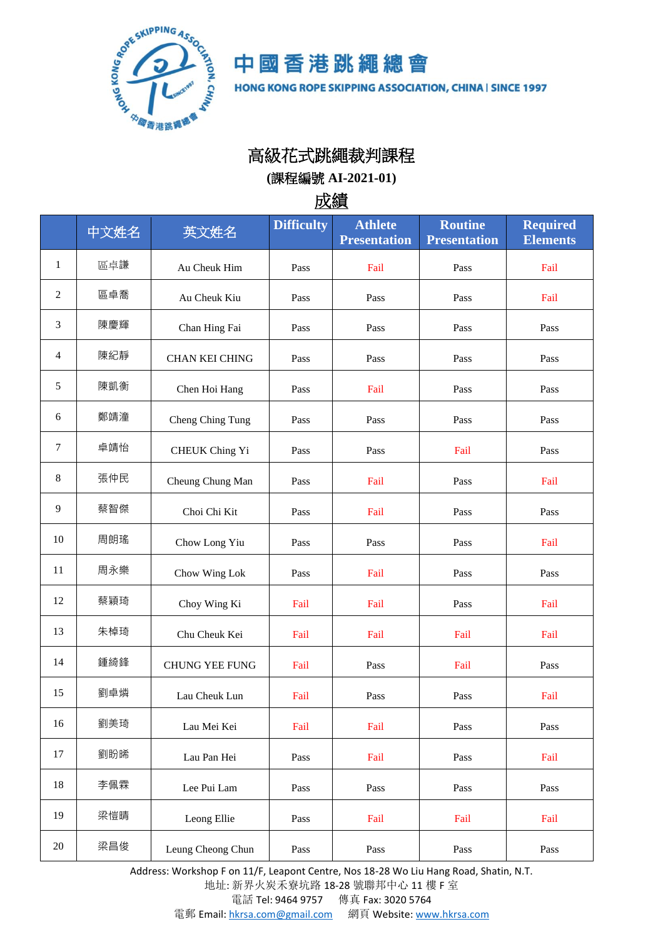

中國香港跳繩總會

HONG KONG ROPE SKIPPING ASSOCIATION, CHINA | SINCE 1997

## 高級花式跳繩裁判課程

**(**課程編號 **AI-2021-01)**

成績

|                | 中文姓名 | 英文姓名                  | <b>Difficulty</b> | <b>Athlete</b><br><b>Presentation</b> | <b>Routine</b><br><b>Presentation</b> | <b>Required</b><br><b>Elements</b> |
|----------------|------|-----------------------|-------------------|---------------------------------------|---------------------------------------|------------------------------------|
| $\mathbf{1}$   | 區卓謙  | Au Cheuk Him          | Pass              | Fail                                  | Pass                                  | Fail                               |
| $\overline{2}$ | 區卓喬  | Au Cheuk Kiu          | Pass              | Pass                                  | Pass                                  | Fail                               |
| 3              | 陳慶輝  | Chan Hing Fai         | Pass              | Pass                                  | Pass                                  | Pass                               |
| $\overline{4}$ | 陳紀靜  | CHAN KEI CHING        | Pass              | Pass                                  | Pass                                  | Pass                               |
| 5              | 陳凱衡  | Chen Hoi Hang         | Pass              | Fail                                  | Pass                                  | Pass                               |
| 6              | 鄭靖潼  | Cheng Ching Tung      | Pass              | Pass                                  | Pass                                  | Pass                               |
| $\tau$         | 卓靖怡  | <b>CHEUK Ching Yi</b> | Pass              | Pass                                  | Fail                                  | Pass                               |
| 8              | 張仲民  | Cheung Chung Man      | Pass              | Fail                                  | Pass                                  | Fail                               |
| 9              | 蔡智傑  | Choi Chi Kit          | Pass              | Fail                                  | Pass                                  | Pass                               |
| 10             | 周朗瑤  | Chow Long Yiu         | Pass              | Pass                                  | Pass                                  | Fail                               |
| 11             | 周永樂  | Chow Wing Lok         | Pass              | Fail                                  | Pass                                  | Pass                               |
| 12             | 蔡穎琦  | Choy Wing Ki          | Fail              | Fail                                  | Pass                                  | Fail                               |
| 13             | 朱棹琦  | Chu Cheuk Kei         | Fail              | Fail                                  | Fail                                  | Fail                               |
| 14             | 鍾綺鋒  | <b>CHUNG YEE FUNG</b> | Fail              | Pass                                  | Fail                                  | Pass                               |
| 15             | 劉卓燐  | Lau Cheuk Lun         | Fail              | Pass                                  | Pass                                  | Fail                               |
| 16             | 劉美琦  | Lau Mei Kei           | Fail              | Fail                                  | Pass                                  | Pass                               |
| 17             | 劉盼晞  | Lau Pan Hei           | Pass              | Fail                                  | Pass                                  | Fail                               |
| 18             | 李佩霖  | Lee Pui Lam           | Pass              | Pass                                  | Pass                                  | Pass                               |
| 19             | 梁愷晴  | Leong Ellie           | Pass              | Fail                                  | Fail                                  | Fail                               |
| 20             | 梁昌俊  | Leung Cheong Chun     | Pass              | Pass                                  | Pass                                  | Pass                               |

Address: Workshop F on 11/F, Leapont Centre, Nos 18-28 Wo Liu Hang Road, Shatin, N.T.

地址: 新界火炭禾寮坑路 18-28 號聯邦中心 11 樓 F 室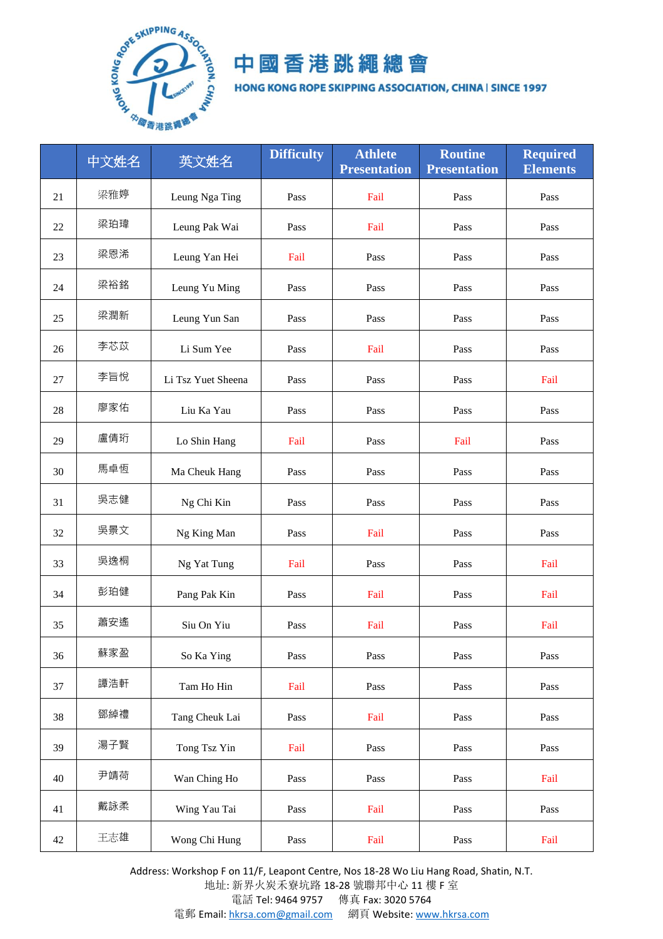

## 中國香港跳繩總會

HONG KONG ROPE SKIPPING ASSOCIATION, CHINA | SINCE 1997

|    | 中文姓名 | 英文姓名               | <b>Difficulty</b> | <b>Athlete</b><br><b>Presentation</b> | <b>Routine</b><br><b>Presentation</b> | <b>Required</b><br><b>Elements</b> |
|----|------|--------------------|-------------------|---------------------------------------|---------------------------------------|------------------------------------|
| 21 | 梁雅婷  | Leung Nga Ting     | Pass              | Fail                                  | Pass                                  | Pass                               |
| 22 | 梁珀瑋  | Leung Pak Wai      | Pass              | Fail                                  | Pass                                  | Pass                               |
| 23 | 梁恩浠  | Leung Yan Hei      | Fail              | Pass                                  | Pass                                  | Pass                               |
| 24 | 梁裕銘  | Leung Yu Ming      | Pass              | Pass                                  | Pass                                  | Pass                               |
| 25 | 梁潤新  | Leung Yun San      | Pass              | Pass                                  | Pass                                  | Pass                               |
| 26 | 李芯苡  | Li Sum Yee         | Pass              | Fail                                  | Pass                                  | Pass                               |
| 27 | 李旨悅  | Li Tsz Yuet Sheena | Pass              | Pass                                  | Pass                                  | Fail                               |
| 28 | 廖家佑  | Liu Ka Yau         | Pass              | Pass                                  | Pass                                  | Pass                               |
| 29 | 盧倩珩  | Lo Shin Hang       | Fail              | Pass                                  | Fail                                  | Pass                               |
| 30 | 馬卓恆  | Ma Cheuk Hang      | Pass              | Pass                                  | Pass                                  | Pass                               |
| 31 | 吳志健  | Ng Chi Kin         | Pass              | Pass                                  | Pass                                  | Pass                               |
| 32 | 吳景文  | Ng King Man        | Pass              | Fail                                  | Pass                                  | Pass                               |
| 33 | 吳逸桐  | Ng Yat Tung        | Fail              | Pass                                  | Pass                                  | Fail                               |
| 34 | 彭珀健  | Pang Pak Kin       | Pass              | Fail                                  | Pass                                  | Fail                               |
| 35 | 蕭安遙  | Siu On Yiu         | Pass              | Fail                                  | Pass                                  | Fail                               |
| 36 | 蘇家盈  | So Ka Ying         | Pass              | Pass                                  | Pass                                  | Pass                               |
| 37 | 譚浩軒  | Tam Ho Hin         | Fail              | Pass                                  | Pass                                  | Pass                               |
| 38 | 鄧綽禮  | Tang Cheuk Lai     | Pass              | Fail                                  | Pass                                  | Pass                               |
| 39 | 湯子賢  | Tong Tsz Yin       | Fail              | Pass                                  | Pass                                  | Pass                               |
| 40 | 尹靖荷  | Wan Ching Ho       | Pass              | Pass                                  | Pass                                  | Fail                               |
| 41 | 戴詠柔  | Wing Yau Tai       | Pass              | Fail                                  | Pass                                  | Pass                               |
| 42 | 王志雄  | Wong Chi Hung      | Pass              | Fail                                  | Pass                                  | Fail                               |

Address: Workshop F on 11/F, Leapont Centre, Nos 18-28 Wo Liu Hang Road, Shatin, N.T.